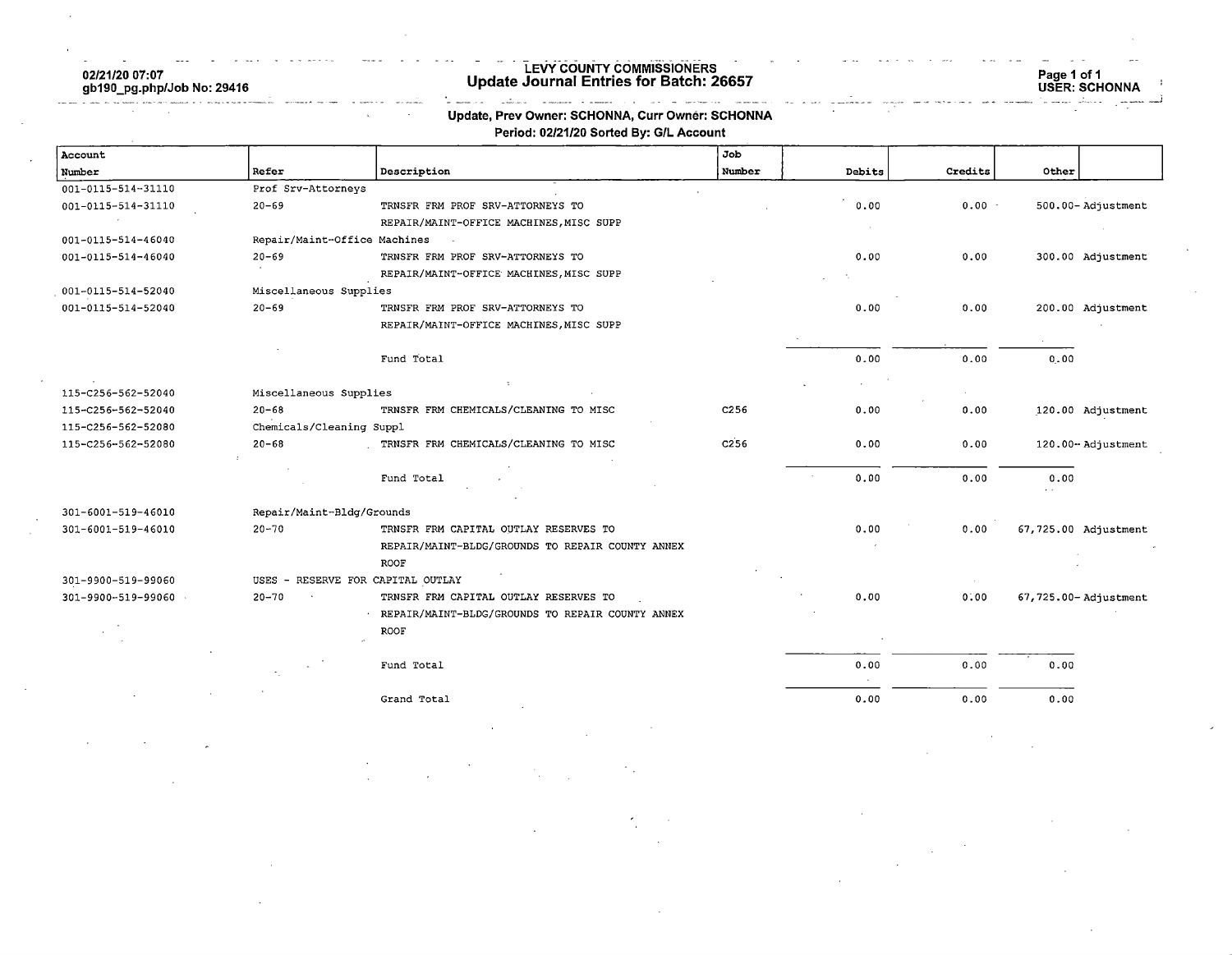02/21/20 07:07 gb190\_pg.php/Job No: 29416

#### LEVY COUNTY COMMISSIONERS Update Journal Entries for Batch: 26657

# Page 1 of 1 USER: SCHONNA

#### $\label{eq:3.1} \begin{array}{lllllllllllll} \mathbb{E}[\mathbb{E}[\mathbf{w},\mathbf{w}]\leq \mathbb{E}[\mathbf{w},\mathbf{w}]\mathbf{w} &\text{where}&\mathbf{w}=\mathbf{w}=\mathbf{w}=\mathbf{w}=\mathbf{w}=\mathbf{w}\mathbf{w} \text{ and } \mathbf{w}\mathbf{w} \text{ is } \mathbf{w} \text{ is } \mathbf{w} \text{ is } \mathbf{w} \text{ is } \mathbf{w} \text{ is } \mathbf{w} \text{ is } \mathbf{w} \text{ is } \mathbf{w} \text{ is } \math$ Update, Prev Owner: SCHONNA, Curr Owner: SCHONNA Period: 02/21/20 Sorted By: G/L Account

a<br>Tanzania eta

| Account              |                              |                                                  | Job              |        |          |       |                       |
|----------------------|------------------------------|--------------------------------------------------|------------------|--------|----------|-------|-----------------------|
| Number               | Refer                        | Description                                      | Number           | Debits | Credits  | Other |                       |
| 001-0115-514-31110   | Prof Srv-Attorneys           |                                                  |                  |        |          |       |                       |
| 001-0115-514-31110   | $20 - 69$                    | TRNSFR FRM PROF SRV-ATTORNEYS TO                 |                  | 0.00   | $0.00 -$ |       | 500.00-Adjustment     |
|                      |                              | REPAIR/MAINT-OFFICE MACHINES, MISC SUPP          |                  |        |          |       |                       |
| 001-0115-514-46040   | Repair/Maint-Office Machines | $\overline{\phantom{a}}$                         |                  |        |          |       |                       |
| 001-0115-514-46040   | $20 - 69$                    | TRNSFR FRM PROF SRV-ATTORNEYS TO                 |                  | 0.00   | 0.00     |       | 300.00 Adjustment     |
|                      |                              | REPAIR/MAINT-OFFICE MACHINES, MISC SUPP          |                  |        |          |       |                       |
| 001-0115-514-52040   | Miscellaneous Supplies       |                                                  |                  |        |          |       |                       |
| 001-0115-514-52040   | $20 - 69$                    | TRNSFR FRM PROF SRV-ATTORNEYS TO                 |                  | 0.00   | 0.00     |       | 200.00 Adjustment     |
|                      |                              | REPAIR/MAINT-OFFICE MACHINES, MISC SUPP          |                  |        |          |       |                       |
|                      |                              |                                                  |                  |        |          |       |                       |
|                      |                              | Fund Total                                       |                  | 0.00   | 0.00     | 0.00  |                       |
|                      |                              |                                                  |                  |        |          |       |                       |
| 115-C256-562-52040   | Miscellaneous Supplies       |                                                  |                  |        |          |       |                       |
| 115-C256-562-52040   | $20 - 68$                    | TRNSFR FRM CHEMICALS/CLEANING TO MISC            | C <sub>256</sub> | 0.00   | 0.00     |       | 120.00 Adjustment     |
| 115-C256-562-52080   | Chemicals/Cleaning Suppl     |                                                  |                  |        |          |       |                       |
| 115-C256-562-52080   | $20 - 68$                    | TRNSFR FRM CHEMICALS/CLEANING TO MISC            | C <sub>256</sub> | 0.00   | 0.00     |       | 120.00-Adjustment     |
|                      |                              |                                                  |                  |        |          |       |                       |
|                      |                              | Fund Total                                       |                  | 0.00   | 0.00     | 0.00  |                       |
|                      |                              |                                                  |                  |        |          |       |                       |
| 301-6001-519-46010   | Repair/Maint-Bldg/Grounds    |                                                  |                  |        |          |       |                       |
| 301-6001-519-46010   | $20 - 70$                    | TRNSFR FRM CAPITAL OUTLAY RESERVES TO            |                  | 0.00   | 0.00     |       | 67,725.00 Adjustment  |
|                      |                              | REPAIR/MAINT-BLDG/GROUNDS TO REPAIR COUNTY ANNEX |                  |        |          |       |                       |
|                      |                              | ROOF                                             |                  |        |          |       |                       |
| 301-9900-519-99060   | $USES -$                     | RESERVE FOR CAPITAL OUTLAY                       |                  |        |          |       |                       |
| 301-9900-519-99060 . | $20 - 70$                    | TRNSFR FRM CAPITAL OUTLAY RESERVES TO            |                  | 0.00   | 0.00     |       | 67,725.00- Adjustment |
|                      |                              | REPAIR/MAINT-BLDG/GROUNDS TO REPAIR COUNTY ANNEX |                  |        |          |       |                       |
|                      |                              | <b>ROOF</b>                                      |                  |        |          |       |                       |
|                      |                              |                                                  |                  |        |          |       |                       |
|                      |                              | Fund Total                                       |                  | 0.00   | 0.00     | 0.00  |                       |
|                      |                              |                                                  |                  |        |          |       |                       |
|                      |                              | Grand Total                                      |                  | 0.00   | 0.00     | 0.00  |                       |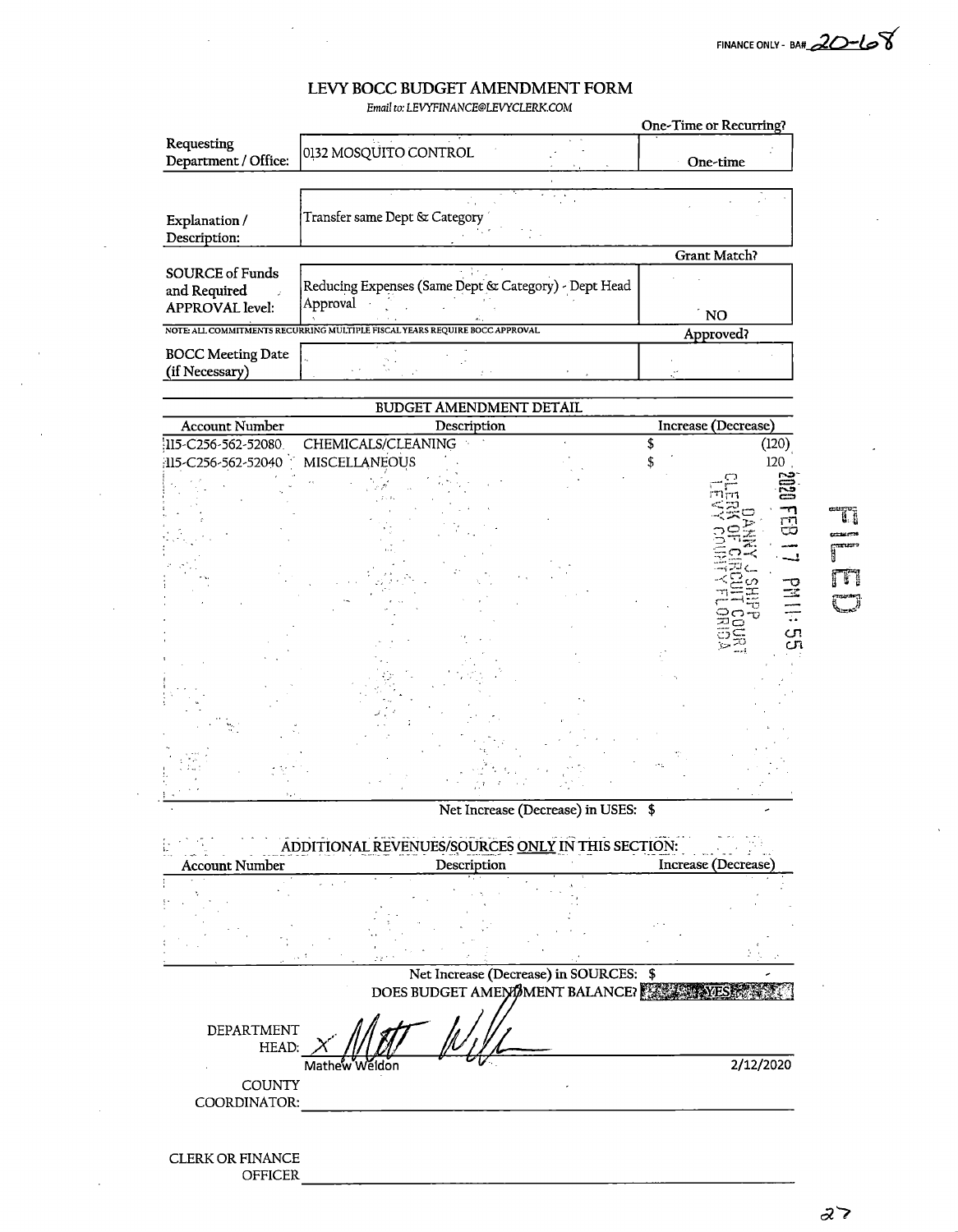FINANCE ONLY - BA# 20-108

Ŧ

ΓĦ

## LEVY BOCC BUDGET AMENDMENT FORM

Email to: LEVYFINANCE@LEVYCLERK.COM

| One-time            |
|---------------------|
|                     |
|                     |
|                     |
|                     |
| Grant Match?        |
|                     |
| ` NO                |
| Approved?           |
|                     |
|                     |
|                     |
| Increase (Decrease) |
|                     |



### **CLERK OR FINANCE OFFICER**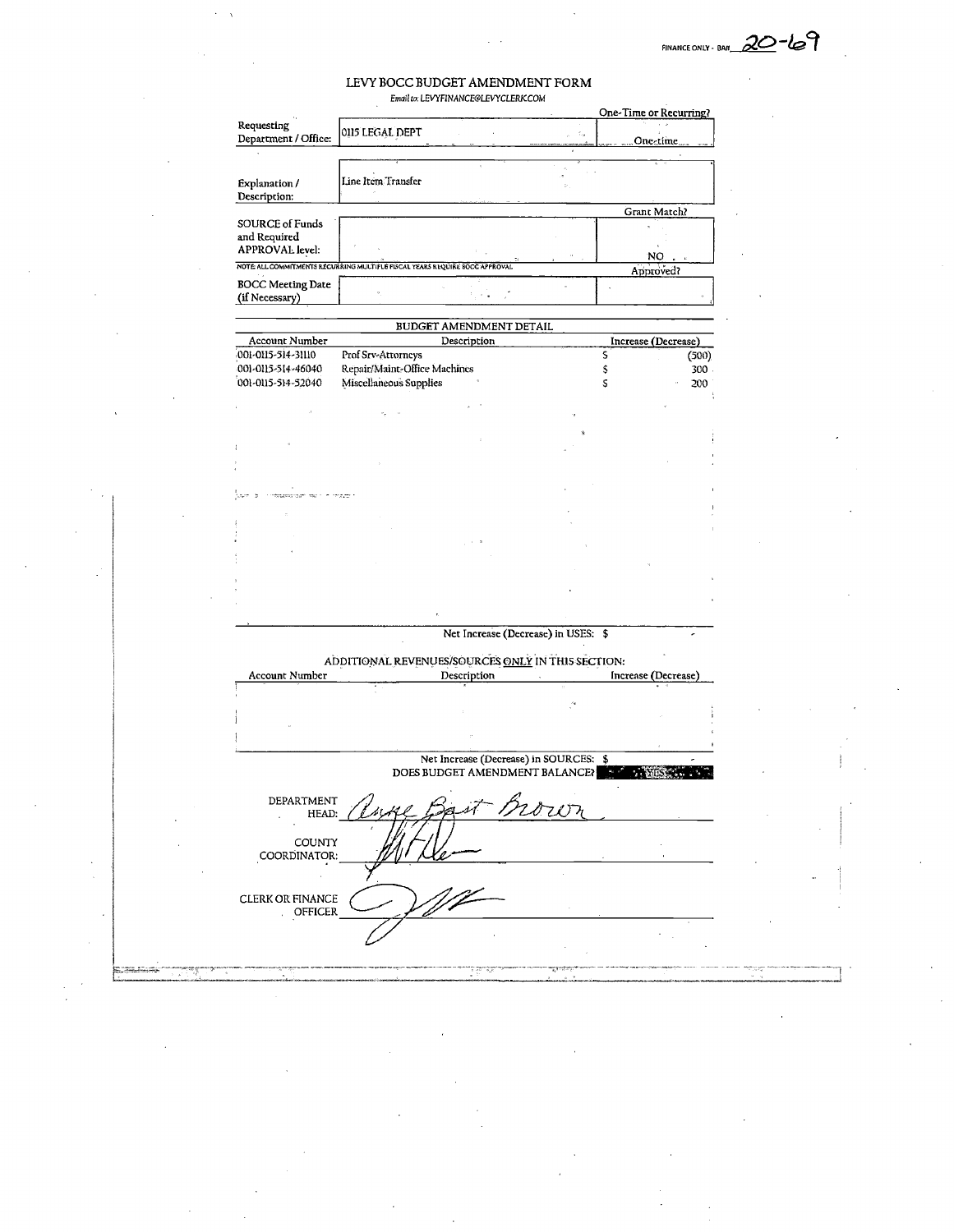$20 - 69$ FINANCE ONLY - BA«.

#### LEVY BOCC BUDGET AMENDMENT FORM Email lo: LEVYF1NANCE@L£VYCL£RKC0M

|                                                                            |                              |                                                   |      |   | One-Time or Recurring? |
|----------------------------------------------------------------------------|------------------------------|---------------------------------------------------|------|---|------------------------|
| Requesting<br>Department / Office:                                         | 0115 LEGAL DEPT              |                                                   |      |   | One-time.              |
|                                                                            |                              |                                                   |      |   |                        |
|                                                                            |                              |                                                   |      |   |                        |
| Explanation /                                                              | Line Item Transfer           |                                                   |      |   |                        |
| Description:                                                               |                              |                                                   |      |   |                        |
| <b>SOURCE of Funds</b>                                                     |                              |                                                   |      |   | Grant Match?           |
| and Required                                                               |                              |                                                   |      |   |                        |
| APPROVAL level:                                                            |                              |                                                   |      |   | NO                     |
| NOTE ALL COMMITMENTS RECURRING MULTIPLE FISCAL YEARS REQUIRE BOCC APPROVAL |                              |                                                   |      |   | Approved?              |
| <b>BOCC Meeting Date</b><br>(if Necessary)                                 |                              |                                                   |      |   |                        |
|                                                                            |                              | BUDGET AMENDMENT DETAIL                           |      |   |                        |
| Account Number                                                             |                              | Description                                       |      |   | Increase (Decrease)    |
| 001-0115-514-31110                                                         | Prof Srv-Attorneys           |                                                   |      | s | (500)                  |
| 001-0115-514-46040                                                         | Repair/Maint-Office Machines |                                                   |      | s | 300                    |
| 001-0115-514-52040                                                         | Miscellaneous Supplies       |                                                   |      | S | 200                    |
|                                                                            |                              |                                                   |      |   |                        |
|                                                                            |                              |                                                   |      |   |                        |
|                                                                            |                              |                                                   |      |   |                        |
|                                                                            |                              |                                                   |      |   |                        |
|                                                                            |                              |                                                   |      |   |                        |
|                                                                            |                              |                                                   |      |   |                        |
|                                                                            |                              |                                                   |      |   |                        |
|                                                                            |                              |                                                   |      |   |                        |
|                                                                            |                              |                                                   |      |   |                        |
|                                                                            |                              |                                                   |      |   |                        |
|                                                                            |                              |                                                   |      |   |                        |
|                                                                            |                              |                                                   |      |   |                        |
|                                                                            |                              |                                                   |      |   |                        |
|                                                                            |                              | Net Increase (Decrease) in USES: \$               |      |   |                        |
|                                                                            |                              |                                                   |      |   |                        |
|                                                                            |                              |                                                   |      |   |                        |
|                                                                            |                              | ADDITIONAL REVENUES/SOURCES ONLY IN THIS SECTION: |      |   |                        |
| Account Number                                                             |                              | Description                                       |      |   | Increase (Decrease)    |
|                                                                            |                              |                                                   |      |   |                        |
|                                                                            |                              |                                                   |      |   |                        |
|                                                                            |                              |                                                   |      |   |                        |
|                                                                            |                              |                                                   |      |   |                        |
|                                                                            |                              | Net Increase (Decrease) in SOURCES: \$            |      |   |                        |
|                                                                            |                              | DOES BUDGET AMENDMENT BALANCE?                    |      |   |                        |
| DEPARTMENT                                                                 |                              |                                                   |      |   |                        |
| HEAD:                                                                      |                              |                                                   | Mowr |   |                        |
|                                                                            |                              |                                                   |      |   |                        |
| COUNTY                                                                     |                              |                                                   |      |   |                        |
| COORDINATOR:                                                               |                              |                                                   |      |   |                        |
|                                                                            |                              |                                                   |      |   |                        |
| CLERK OR FINANCE                                                           |                              |                                                   |      |   |                        |
| OFFICER                                                                    |                              |                                                   |      |   |                        |
|                                                                            |                              |                                                   |      |   |                        |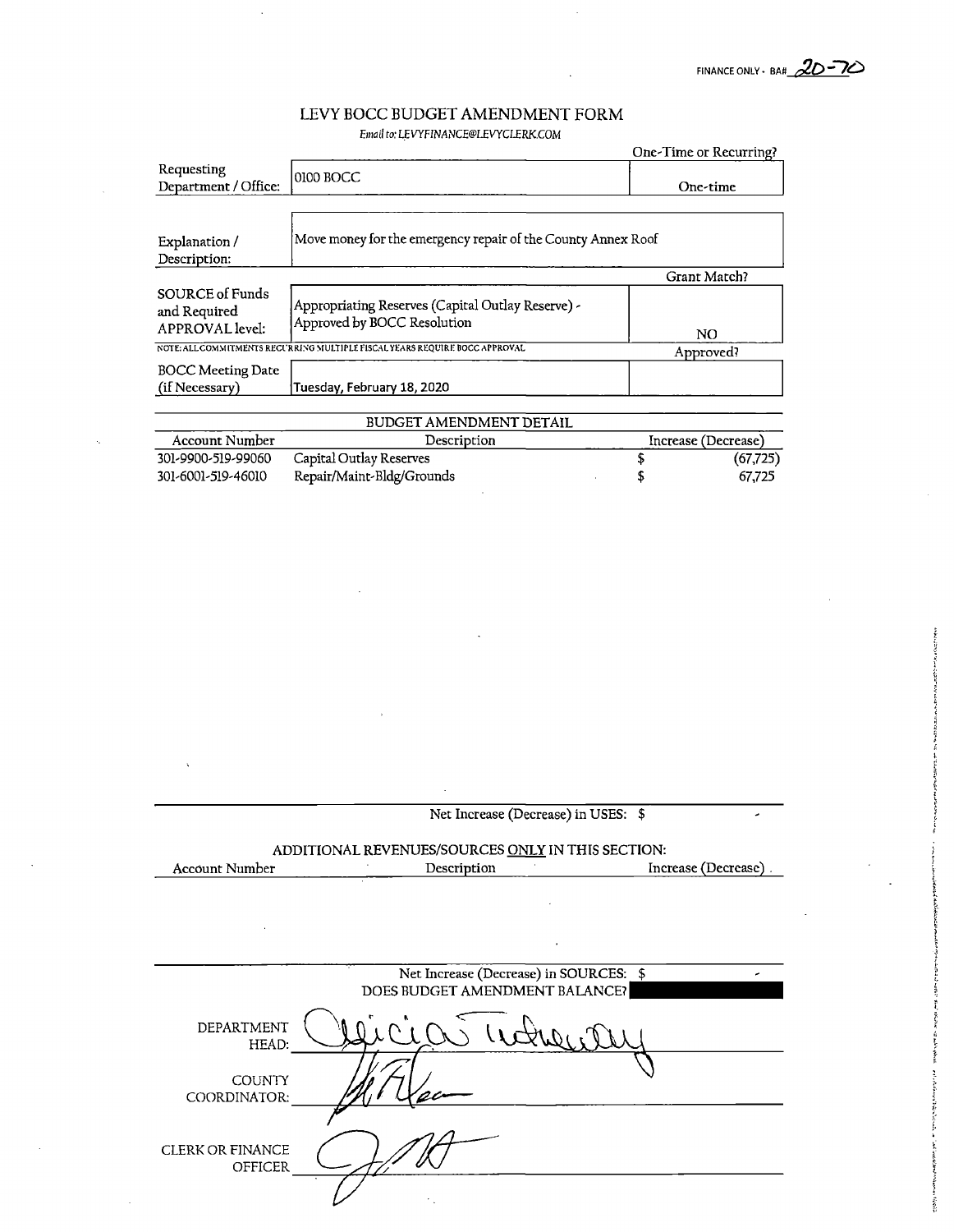## LEVY BOCC BUDGET AMENDMENT FORM Email to: LEVYFINANCE@LEVYCLERK.COM

|                                                           |                                                                                  | One-Time or Recurring? |
|-----------------------------------------------------------|----------------------------------------------------------------------------------|------------------------|
| Requesting<br>Department / Office:                        | 0100 BOCC                                                                        | One-time               |
|                                                           |                                                                                  |                        |
| Explanation /<br>Description:                             | Move money for the emergency repair of the County Annex Roof                     |                        |
|                                                           |                                                                                  | Grant Match?           |
| SOURCE of Funds<br>and Required<br><b>APPROVAL</b> level: | Appropriating Reserves (Capital Outlay Reserve) -<br>Approved by BOCC Resolution | NO.                    |
|                                                           | NOTE: ALL COMMITMENTS RECURRING MULTIPLE FISCAL YEARS REQUIRE BOCC APPROVAL      | Approved?              |
| <b>BOCC Meeting Date</b>                                  |                                                                                  |                        |
| (if Necessary)                                            | Tuesday, February 18, 2020                                                       |                        |
|                                                           | BUDGET AMENDMENT DETAIL                                                          |                        |
| <b>Account Number</b>                                     | Description                                                                      | Increase (Decrease)    |
| 301-9900-519-99060                                        | Capital Outlay Reserves                                                          | (67, 725)              |
| 301-6001-519-46010                                        | Repair/Maint-Bldg/Grounds                                                        | 67,725                 |

Net Increase (Decrease) in USES: \$

 $\mathcal{L}$ 

ADDITIONAL REVENUES/SOURCES ONLY IN THIS SECTION:

| Account Number | Description | Increase (Decrease) |
|----------------|-------------|---------------------|
|                |             |                     |

|                                    | Net Increase (Decrease) in SOURCES: \$<br>DOES BUDGET AMENDMENT BALANCE? |
|------------------------------------|--------------------------------------------------------------------------|
| DEPARTMENT<br>HEAD:                |                                                                          |
| <b>COUNTY</b><br>COORDINATOR:      |                                                                          |
| <b>CLERK OR FINANCE</b><br>OFFICER |                                                                          |
|                                    |                                                                          |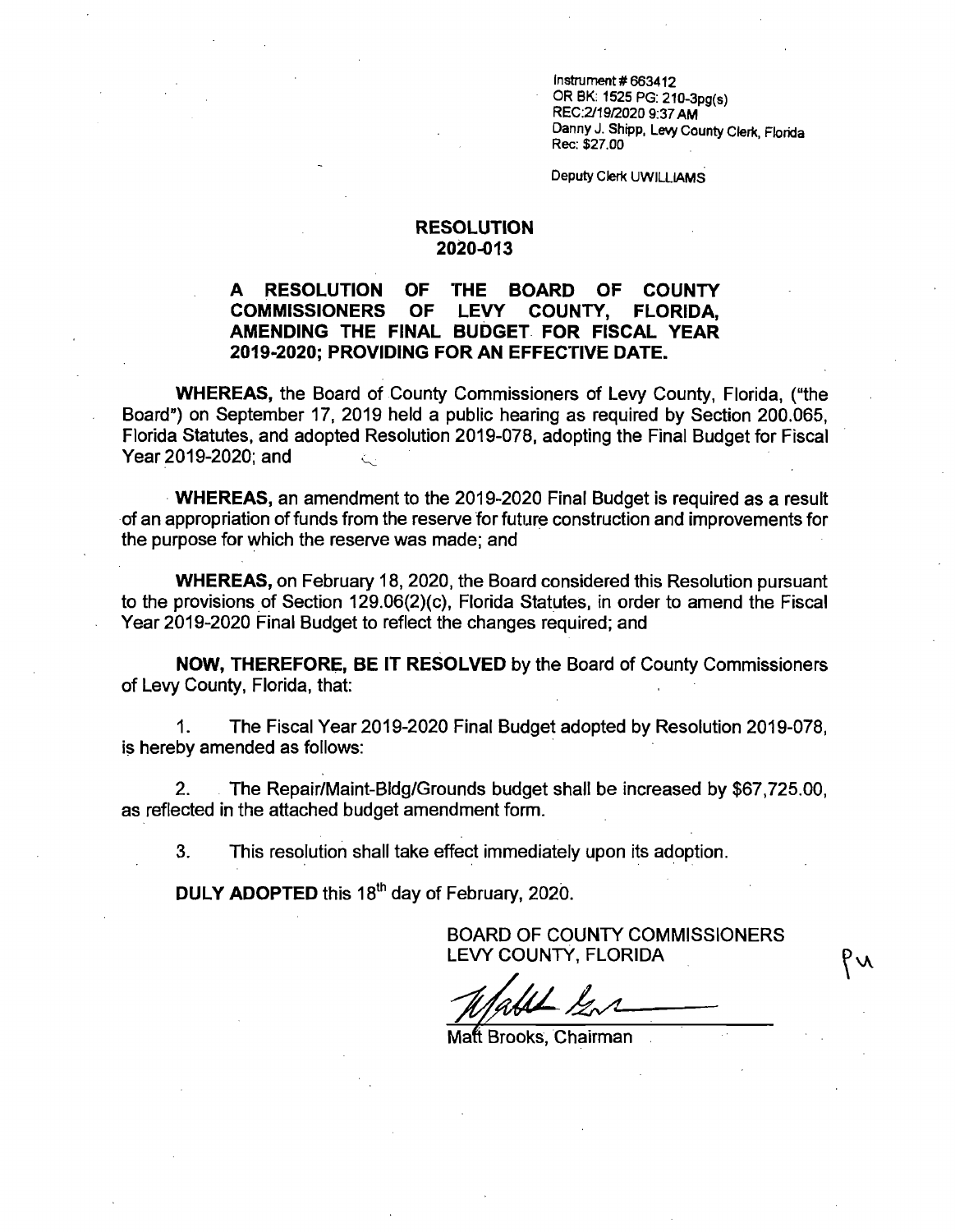$Instrument # 663412$ ORBK; 1525 PG:210-3pg(s) REC;2/19/2020 9;37 AM Danny J. Shipp, Levy County Clerk, Florida Rec; \$27.00

Deputy Clerk UWILLIAMS

## RESOLUTION 2020-013

## A RESOLUTION OF THE BOARD OF COUNTY<br>COMMISSIONERS OF LEVY COUNTY. FLORIDA. COMMISSIONERS OF LEVY COUNTY, FLORIDA, AMENDING THE FINAL BUDGET FOR FISCAL YEAR 2019-2020; PROVIDING FOR AN EFFECTIVE DATE.

WHEREAS, the Board of County Commissioners of Levy County, Florida, ("the Board") on September 17, 2019 held a public hearing as required by Section 200.065, Florida Statutes, and adopted Resolution 2019-078, adopting the Final Budget for Fiscal Year 2019-2020; and

WHEREAS, an amendment to the 2019-2020 Final Budget is required as a result of an appropriation of funds from the reserve for future construction and improvements for the purpose for which the reserve was made; and

WHEREAS, on February 18, 2020, the Board considered this Resolution pursuant to the provisions of Section 129.06(2)(c), Florida Statutes, in order to amend the Fiscal Year 2019-2020 Final Budget to reflect the changes required; and

NOW, THEREFORE, BE IT RESOLVED by the Board of County Commissioners of Levy County, Florida, that:

1. The Fiscal Year 2019-2020 Final Budget adopted by Resolution 2019-078, is hereby amended as follows:

2. The Repair/Maint-Bldg/Grounds budget shall be increased by \$67,725.00, as reflected in the attached budget amendment form.

3. This resolution shall take effect immediately upon its adoption.

DULY ADOPTED this 18<sup>th</sup> day of February, 2020.

BOARD OF COUNTY COMMISSIONERS LEVY COUNTY, FLORIDA

Matt Brooks, Chairman